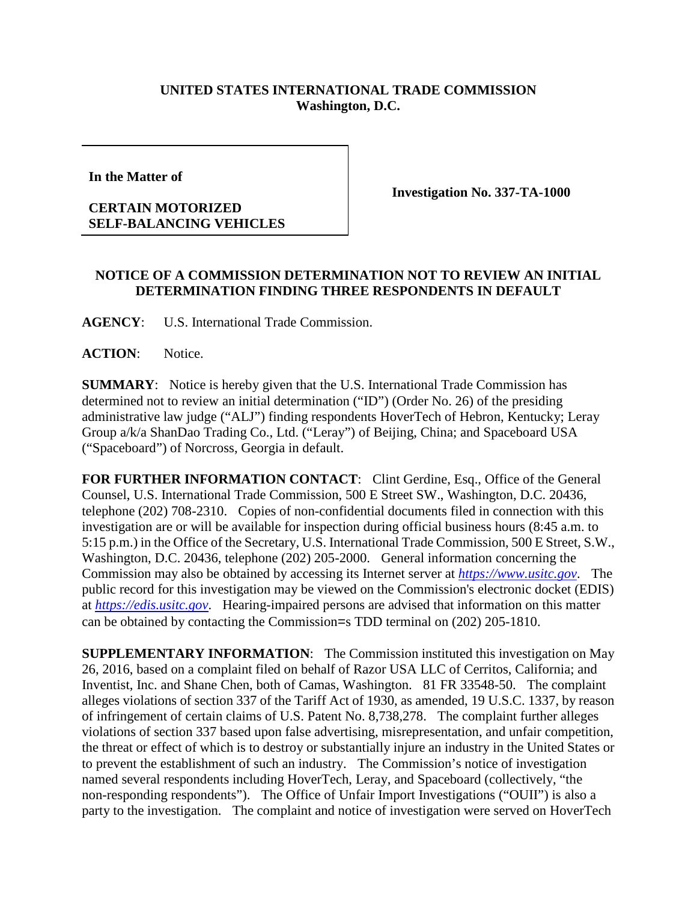## **UNITED STATES INTERNATIONAL TRADE COMMISSION Washington, D.C.**

**In the Matter of** 

## **CERTAIN MOTORIZED SELF-BALANCING VEHICLES**

**Investigation No. 337-TA-1000**

## **NOTICE OF A COMMISSION DETERMINATION NOT TO REVIEW AN INITIAL DETERMINATION FINDING THREE RESPONDENTS IN DEFAULT**

**AGENCY**: U.S. International Trade Commission.

**ACTION**: Notice.

**SUMMARY**: Notice is hereby given that the U.S. International Trade Commission has determined not to review an initial determination ("ID") (Order No. 26) of the presiding administrative law judge ("ALJ") finding respondents HoverTech of Hebron, Kentucky; Leray Group a/k/a ShanDao Trading Co., Ltd. ("Leray") of Beijing, China; and Spaceboard USA ("Spaceboard") of Norcross, Georgia in default.

FOR FURTHER INFORMATION CONTACT: Clint Gerdine, Esq., Office of the General Counsel, U.S. International Trade Commission, 500 E Street SW., Washington, D.C. 20436, telephone (202) 708-2310. Copies of non-confidential documents filed in connection with this investigation are or will be available for inspection during official business hours (8:45 a.m. to 5:15 p.m.) in the Office of the Secretary, U.S. International Trade Commission, 500 E Street, S.W., Washington, D.C. 20436, telephone (202) 205-2000. General information concerning the Commission may also be obtained by accessing its Internet server at *[https://www.usitc.gov](https://www.usitc.gov/)*. The public record for this investigation may be viewed on the Commission's electronic docket (EDIS) at *[https://edis.usitc.gov](https://edis.usitc.gov/)*. Hearing-impaired persons are advised that information on this matter can be obtained by contacting the Commission=s TDD terminal on (202) 205-1810.

**SUPPLEMENTARY INFORMATION**: The Commission instituted this investigation on May 26, 2016, based on a complaint filed on behalf of Razor USA LLC of Cerritos, California; and Inventist, Inc. and Shane Chen, both of Camas, Washington. 81 FR 33548-50. The complaint alleges violations of section 337 of the Tariff Act of 1930, as amended, 19 U.S.C. 1337, by reason of infringement of certain claims of U.S. Patent No. 8,738,278. The complaint further alleges violations of section 337 based upon false advertising, misrepresentation, and unfair competition, the threat or effect of which is to destroy or substantially injure an industry in the United States or to prevent the establishment of such an industry. The Commission's notice of investigation named several respondents including HoverTech, Leray, and Spaceboard (collectively, "the non-responding respondents"). The Office of Unfair Import Investigations ("OUII") is also a party to the investigation. The complaint and notice of investigation were served on HoverTech